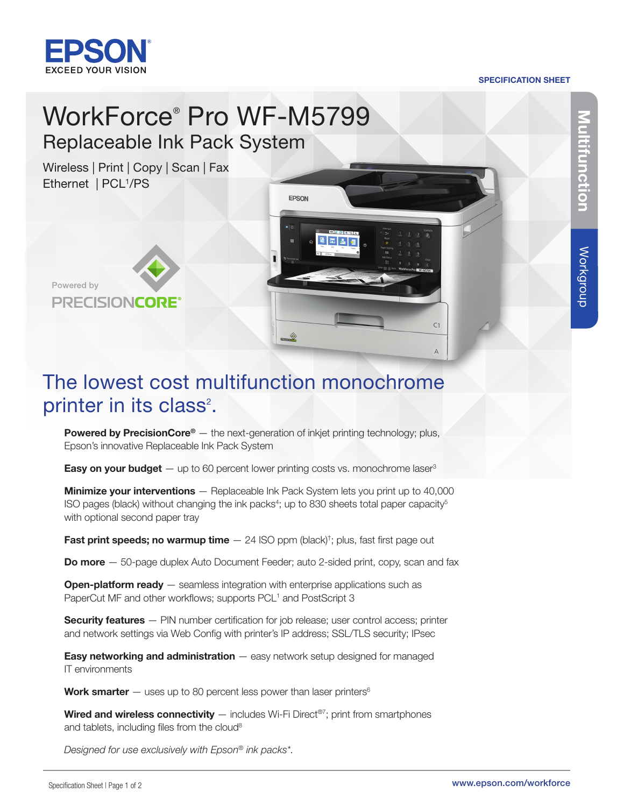

## SPECIFICATION SHEET

# WorkForce® Pro WF-M5799 Replaceable Ink Pack System

Wireless | Print | Copy | Scan | Fax Ethernet | PCL<sup>1</sup>/PS



# The lowest cost multifunction monochrome printer in its class<sup>2</sup>.

EPSON

日本店

 $C1$ 

 $\overline{A}$ 

**Powered by PrecisionCore<sup>®</sup>** — the next-generation of inkjet printing technology; plus, Epson's innovative Replaceable Ink Pack System

**Easy on your budget**  $-$  up to 60 percent lower printing costs vs. monochrome laser<sup>3</sup>

**Minimize your interventions** - Replaceable Ink Pack System lets you print up to 40,000 ISO pages (black) without changing the ink packs<sup>4</sup>; up to 830 sheets total paper capacity<sup>5</sup> with optional second paper tray

Fast print speeds; no warmup time  $-$  24 ISO ppm (black)<sup>†</sup>; plus, fast first page out

**Do more**  $-50$ -page duplex Auto Document Feeder; auto 2-sided print, copy, scan and fax

**Open-platform ready** - seamless integration with enterprise applications such as PaperCut MF and other workflows; supports PCL<sup>1</sup> and PostScript 3

**Security features** — PIN number certification for job release; user control access; printer and network settings via Web Config with printer's IP address; SSL/TLS security; IPsec

Easy networking and administration - easy network setup designed for managed IT environments

Work smarter  $-$  uses up to 80 percent less power than laser printers<sup>6</sup>

Wired and wireless connectivity  $-$  includes Wi-Fi Direct®7; print from smartphones and tablets, including files from the cloud<sup>8</sup>

*Designed for use exclusively with Epson® ink packs\*.*